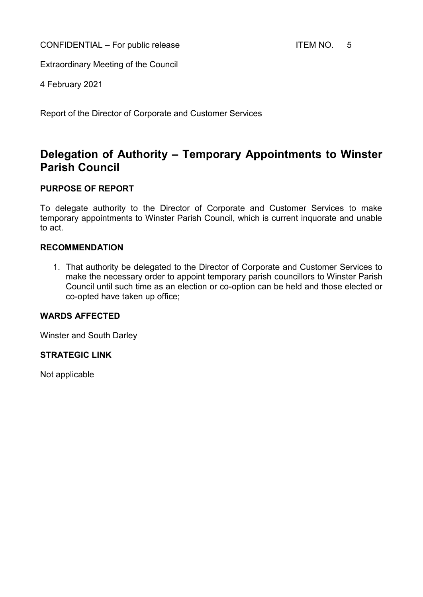CONFIDENTIAL – For public release ITEM NO. 5

Extraordinary Meeting of the Council

4 February 2021

Report of the Director of Corporate and Customer Services

# **Delegation of Authority – Temporary Appointments to Winster Parish Council**

#### **PURPOSE OF REPORT**

To delegate authority to the Director of Corporate and Customer Services to make temporary appointments to Winster Parish Council, which is current inquorate and unable to act.

#### **RECOMMENDATION**

1. That authority be delegated to the Director of Corporate and Customer Services to make the necessary order to appoint temporary parish councillors to Winster Parish Council until such time as an election or co-option can be held and those elected or co-opted have taken up office;

#### **WARDS AFFECTED**

Winster and South Darley

#### **STRATEGIC LINK**

Not applicable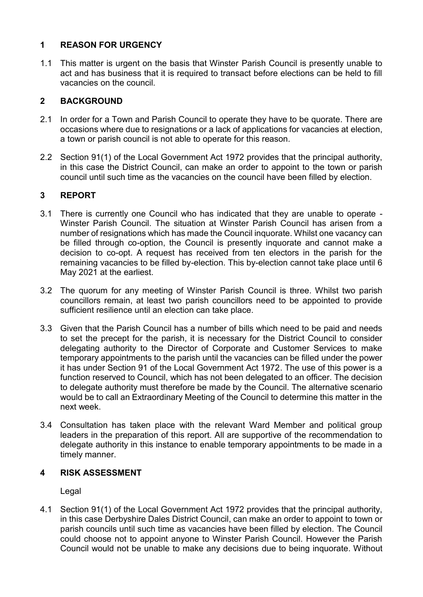## **1 REASON FOR URGENCY**

1.1 This matter is urgent on the basis that Winster Parish Council is presently unable to act and has business that it is required to transact before elections can be held to fill vacancies on the council.

### **2 BACKGROUND**

- 2.1 In order for a Town and Parish Council to operate they have to be quorate. There are occasions where due to resignations or a lack of applications for vacancies at election, a town or parish council is not able to operate for this reason.
- 2.2 Section 91(1) of the Local Government Act 1972 provides that the principal authority, in this case the District Council, can make an order to appoint to the town or parish council until such time as the vacancies on the council have been filled by election.

## **3 REPORT**

- 3.1 There is currently one Council who has indicated that they are unable to operate Winster Parish Council. The situation at Winster Parish Council has arisen from a number of resignations which has made the Council inquorate. Whilst one vacancy can be filled through co-option, the Council is presently inquorate and cannot make a decision to co-opt. A request has received from ten electors in the parish for the remaining vacancies to be filled by-election. This by-election cannot take place until 6 May 2021 at the earliest.
- 3.2 The quorum for any meeting of Winster Parish Council is three. Whilst two parish councillors remain, at least two parish councillors need to be appointed to provide sufficient resilience until an election can take place.
- 3.3 Given that the Parish Council has a number of bills which need to be paid and needs to set the precept for the parish, it is necessary for the District Council to consider delegating authority to the Director of Corporate and Customer Services to make temporary appointments to the parish until the vacancies can be filled under the power it has under Section 91 of the Local Government Act 1972. The use of this power is a function reserved to Council, which has not been delegated to an officer. The decision to delegate authority must therefore be made by the Council. The alternative scenario would be to call an Extraordinary Meeting of the Council to determine this matter in the next week.
- 3.4 Consultation has taken place with the relevant Ward Member and political group leaders in the preparation of this report. All are supportive of the recommendation to delegate authority in this instance to enable temporary appointments to be made in a timely manner.

#### **4 RISK ASSESSMENT**

Legal

4.1 Section 91(1) of the Local Government Act 1972 provides that the principal authority, in this case Derbyshire Dales District Council, can make an order to appoint to town or parish councils until such time as vacancies have been filled by election. The Council could choose not to appoint anyone to Winster Parish Council. However the Parish Council would not be unable to make any decisions due to being inquorate. Without